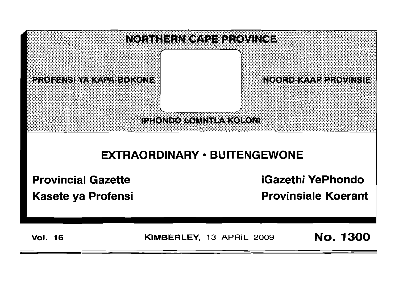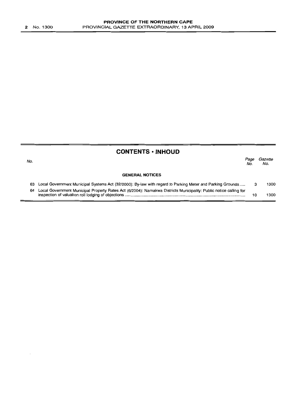## **CONTENTS • INHOUD**

| No. |                                                                                                                   | Page<br>No. | Gazette<br>No. |
|-----|-------------------------------------------------------------------------------------------------------------------|-------------|----------------|
|     | <b>GENERAL NOTICES</b>                                                                                            |             |                |
|     | 63 Local Government Municipal Systems Act (32/2000): By-law with regard to Parking Meter and Parking Grounds      |             | 1300           |
| 64  | Local Government Municipal Property Rates Act (6/2004): Namakwa Districts Municipality: Public notice calling for | 1 C         | 1300           |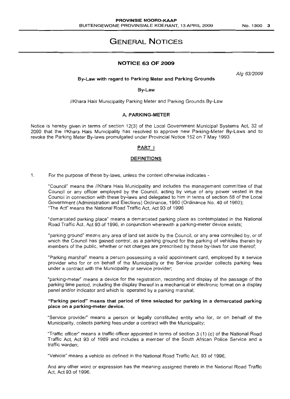# **GENERAL NOTICES**

## **NOTICE 63 OF 2009**

Alg 63/2009

By-Law with regard to Parking Meter and Parking Grounds

By-law

//Khara Hais Municipality Parking Meter and Parking Grounds By-Law

#### A. PARKING-METER

Notice is hereby given in terms of section 12(3) of the Local Government Municipal Systems Act, 32 of 2000 that the IIKhara Hais Municipality has resolved to approve new Parking-Meter By-Laws and to revoke the Parking Meter By-laws promulgated under Provincial Notice 152 on 7 May 1993

#### PART I

#### DEFINITIONS

1. For the purpose of these by-laws, unless the context otherwise indicates -

"Council" means the IIKhara Hais Municipality and includes the management committee of that Council or any officer employed by the Council, acting by virtue of any power vested in the Council in connection with these by-laws and delegated to him in terms of section 58 of the Local Government (Administration and Elections) Ordinance, 1960 (Ordinance No. 40 of 1960); "The Act" means the National Road Traffic Act, Act 93 of 1996

"demarcated parking place" means a demarcated parking place as contemplated in the National Road Traffic Act, Act 93 of 1996, in conjunction wherewith a parking-meter device exists;

"parking ground" means any area of land set aside by the Council, or any area controlled by, or of which the Council has gained control, as a parking ground for the parking of vehicles therein by members of the public, whether or not charges are prescribed by these by-laws for use thereof;

"Parking marshal" means a person possessing a valid appointment card, employed by a service provider who for or on behalf of the Municipality or the Service provider collects parking fees under a contract with the Municipality or service provider;

"parking-meter" means a device for the registration, recording and display of the passage of the parking time period, including the display thereof in a mechanical or electronic format on a display panel and/or indicator and which is operated by a parking marshal;

#### "Parking period" means that period of time selected for parking in a demarcated parking place on a parking-meter device.

"Service provider" means a person or legally constituted entity who for, or on behalf of the Municipality, collects parking fees under a contract with the Municipality;

"Traffic officer" means a traffic officer appointed in terms of section 3 (1) (c) of the National Road Traffic Act, Act 93 of 1989 and includes a member of the South African Police Service and a traffic warden;

"Vehicle" means a vehicle as defined in the National Road Traffic Act, 93 of 1996,

And any other word or expression has the meaning assigned thereto in the National Road Traffic Act, Act 93 of 1996.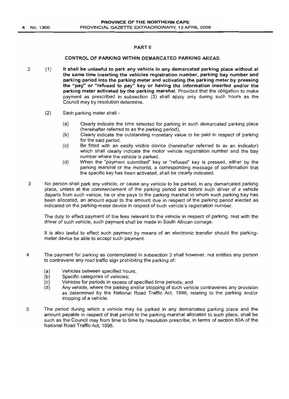## PART II

#### CONTROL OF PARKING WITHIN DEMARCATED PARKING AREAS.

- 2 (1) It shall be unlawful to park any vehicle in any demarcated parking place without at the same time inserting the vehicles registration number, parking bay number and parking period into the parking meter and activating the parking meter by pressing the "pay" or "refused to pay" key or having the information inserted and/or the parking meter activated by the parking marshal. Provided that the obligation to make payment as prescribed in subsection (3) shall apply only during such hours as the Council may by resolution determine.
	- (2) Each parking meter shall
		- (a) Clearly indicate the time selected for parking in such demarcated parking place (hereinafter referred to as the parking period),
		- (b) Clearly indicate the outstanding monetary value to be paid in respect of parking for the said period.
		- (c) Be fitted with an easily visible device (hereinafter referred to as an indicator) which shall clearly indicate the motor vehicle registration number and the bay number where the vehicle is parked.
		- (d) When the "payment submitted" key or "refused" key is pressed, either by the parking marshal or the motorist, a corresponding message of confirmation that the specific key has been activated, shall be clearly indicated.
- 3 No person shall park any vehicle, or cause any vehicle to be parked, in any demarcated parking place, unless at the commencement of the parking period and before such driver of a vehicle departs from such vehicle, he or she pays to the parking marshal to whom such parking bay has been allocated, an amount equal to the amount due in respect of the parking period elected as indicated on the parking-meter device in respect of such vehicle's registration number.

The duty to effect payment of the fees relevant to the vehicle in respect of parking, rest with the driver of such vehicle, such payment shall be made in South African coinage.

It is also lawful to effect such payment by means of an electronic transfer should the parkingmeter device be able to accept such payment.

- 4 The payment for parking as contemplated in subsection 3 shall however, not entitles any person to contravene any road traffic sign prohibiting the parking of:
	- (a) Vehicles between specified hours;<br>(b) Specific categories of vehicles;
	- Specific categories of vehicles;
	- (c) Vehicles for periods in excess of specified time periods; and (d) Any vehicle, where the parking and/or stopping of such vehic
	- Any vehicle, where the parking and/or stopping of such vehicle contravenes any provision as determined by the National Road Traffic Act, 1996, relating to the parking and/or stopping of a vehicle.
- 5 The period during which a vehicle may be parked in any demarcated parking place and the amount payable in respect of that period to the parking marshal allocated to such place, shall be such as the Council may from time to time by resolution prescribe, in terms of section BOA of the National Road Traffic Act, 1996.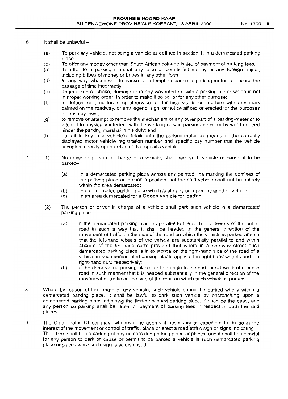- $6$  It shall be unlawful  $-$ 
	- (a) To park any vehicle, not being a vehicle as defined in section 1, in a demarcated parking place;
	- (b) To offer any money other than South African coinage in lieu of payment of parking fees;
	- (c) To offer to a parking marshal any false or counterfeit money or any foreign object, including bribes of money or bribes in any other form;
	- (d) In any way whatsoever to cause or attempt to cause a parking-meter to record the passage of time incorrectly;
	- (e) To jerk, knock, shake, damage or in any way interfere with a parking-meter which is not in proper working order, in order to make it do so, or for any other purpose;
	- (f) to deface, soil, obliterate or otherwise render less visible or interfere with any mark painted on the roadway, or any legend, sign, or notice affixed or erected for the purposes of these by-laws;
	- (g) to remove or attempt to remove the mechanism or any other part of a parking-meter or to attempt to physically interfere with the working of said parking-meter, or by word or deed hinder the parking marshal in his duty; and
	- (h) To fail to key in a vehicle's details into the parking-meter by means of the correctly displayed motor vehicle registration number and specific bay number that the vehicle occupies, directly upon arrival of that specific vehicle.
- 7 (1) No driver or person in charge of a vehicle, shall park such vehicle or cause it to be parked-
	- (a) In a demarcated parking place across any painted line marking the confines of the parking place or in such a position that the said vehicle shall not be entirely within the area demarcated;
	- (b) In a demarcated parking place which is already occupied by another vehicle.
	- (c) In an area demarcated for a **Goods vehicle** for loading.
	- (2) The person or driver in charge of a vehicle shall park such vehicle in a demarcated parking place -
		- (a) if the demarcated parking place is parallel to the curb or sidewalk of the public road in such a way that it shall be headed in the general direction of the movement of traffic on the side of the road on which the vehicle is parked and so that the left-hand wheels of the vehicle are substantially parallel to and within 450mm of the left-hand curb: provided that where in a one-way street such demarcated parking place is in existence on the right-hand side of the road of a vehicle in such demarcated parking place, apply to the right-hand wheels and the right-hand curb respectively;
		- (b) If the demarcated parking place is at an angle to the curb or sidewalk of a public road in such manner that it is headed substantially in the general direction of the movement of traffic on the side of the road on which such vehicle is parked.
- 8 Where by reason of the length of any vehicle, such vehicle cannot be parked wholly within a demarcated parking place, it shall be lawful to park such vehicle by encroaching upon a demarcated parking place adjoining the first-mentioned parking place, if such be the case, and any person so parking shall be liable for payment of parking fees in respect of both the said places
- 9 The Chief Traffic Officer may, whenever he deems it necessary or expedient to do so in the interest of the movement or control of traffic, place or erect a road traffic sign or signs indicating That there shall be no parking at any demarcated parking place or places, and it shall be unlawful for any person to park or cause or permit to be parked a vehicle in such demarcated parking place or places while such sign is so displayed.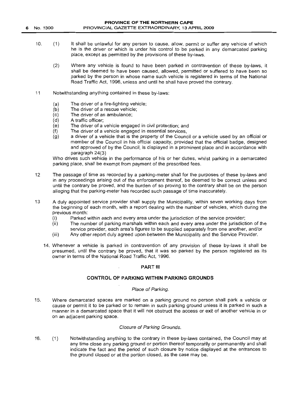6 No. 1300

- 10. (1) It shall be unlawful for any person to cause, allow, permit or suffer any vehicle of which he is the driver or which is under his control to be parked in any demarcated parking place, except as permitted by the provisions of these by-laws.
	- (2) Where any vehicle is found to have been parked in contravention of these by-laws, it shall be deemed to have been caused, allowed, permitted or suffered to have been so parked by the person in whose name such vehicle is registered in terms of the National Road Traffic Act, 1996, unless and until he shall have proved the contrary.
- 11 Notwithstanding anything contained in these by-laws:
	- (a) The driver of a fire-fighting vehicle;
	- (b) The driver of a rescue vehicle;
	- (c) The driver of an ambulance;
	- (d) A traffic officer;
	- (e) The driver of a vehicle engaged in civil protection; and
	- (f) The driver of a vehicle engaged in essential services,
	- (g) a driver of a vehicle that is the property of the Council or a vehicle used by an official or member of the Council in his official capacity, provided that the official badge, designed and approved of by the Council, is displayed in a prominent place and in accordance with paragraph 24(3)

Who drives such vehicle in the performance of his or her duties, whilst parking in a demarcated parking place, shall be exempt from payment of the prescribed fees.

- 12 The passage of time as recorded by a parking-meter shall for the purposes of these by-laws and in any proceedings arising out of the enforcement thereof, be deemed to be correct unless and until the contrary be proved, and the burden of so proving to the contrary shall be on the person alleging that the parking-meter has recorded such passage of time inaccurately.
- 13 A duly appointed service provider shall supply the Municipality, within seven working days from the beginning of each month, with a report dealing with the number of vehicles, which during the previous month:
	- (i) Parked within each and every area under the jurisdiction of the service provider;
	- (ii) The number of parking marshals within each and every area under the jurisdiction of the service provider, each area's figures to be supplied separately from one another, and/or
	- (iii) Any other report duly agreed upon between the Municipality and the Service Provider.
	- 14. Whenever a vehicle is parked in contravention of any provision of these by-laws it shall be presumed, until the contrary be proved, that it was so parked by the person registered as its owner in terms of the National Road Traffic Act, 1996.

#### PART III

## CONTROL OF PARKING WITHIN PARKING GROUNDS

#### Place of Parking.

15. Where demarcated spaces are marked on a parking ground no person shall park a vehicle or cause or permit it to be parked or to remain in such parking ground unless it is parked in such a manner in a demarcated space that it will not obstruct the access or exit of another vehicle in or on an adjacent parking space.

#### Closure of Parking Grounds.

16. (1 ) Notwithstanding anything to the contrary in these by-laws contained, the Council may at any time close any parking ground or portion thereof temporarily or permanently and shall indicate the fact and the period of such closure by notice displayed at the entrances to the ground closed or at the portion closed, as the case may be.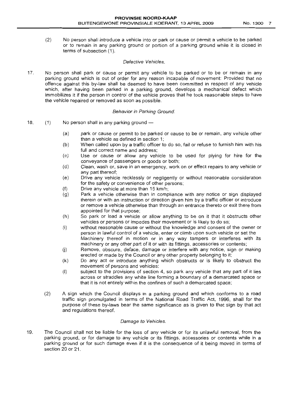(2) No person shall introduce a vehicle into or park or cause or permit a vehicle to be parked or to remain in any parking ground or portion of a parking ground while it is closed in terms of subsection (1).

## Defective Vehicles.

17. No person shall park or cause or permit any vehicle to be parked or to be or remain in any parkinp ground which is out of order for any reason incapable of movement: Provided that no offence against this by-law shall be deemed to have been committed in respect of any vehicle which, after having been parked in a parking ground, develops a mechanical defect which immobilizes it if the person in control of the vehicle proves that he took reasonable steps to have the vehicle repaired or removed as soon as possible.

#### Behavior in Parking Ground.

- 18.  $(1)$  No person shall in any parking ground  $-$ 
	- (a) park or cause or permit to be parked or cause to be or remain, any vehicle other than a vehicle as defined in section 1;
	- (b) When called upon by a traffic officer to do so, fail or refuse to furnish him with his full and correct name and address;
	- (c) Use or cause or allow any vehicle to be used for plying for hire for the conveyance of passengers or goods or both;
	- (d) Clean, wash or, save in an emergency, work on or effect repairs to any vehicle or any part thereof;
	- (e) Drive any vehicle recklessly or negligently or without reasonable consideration for the safety or convenience of other persons;
	- (f) Drive any vehicle at more than 15 km/h;
	- (g) Park a vehicle otherwise than in compliance with any notice or sign displayed therein or with an instruction or direction given him by a traffic officer or introduce or remove a vehicle otherwise than through an entrance thereto or exit there from appointed for that purpose;
	- (h) So park or load a vehicle or allow anything to be on it that it obstructs other vehicles or persons or impedes their movement or is likely to do so;
	- (i) without reasonable cause or without the knowledge and consent of the owner or person in Jawful control of a vehicle, enter or climb upon such vehicle or set the Machinery thereof in motion or in any way tampers or interferes with its machinery or any other part of it or with its fittings, accessories or contents;
	- (j) Remove, obscure, deface, damage or interfere with any notice, sign or making erected or made by the Council or any other property belonging to it;
	- (k) Do any act or introduce anything which obstructs or is likely to obstruct the movement of persons and vehicles;
	- (I) subject to the provisions of section 4, so park any vehicle that any part of it lies across or straddles any white line forming a boundary of a demarcated space or that it is not entirely within the confines of such a demarcated space;
	- (2) A sign which the Council displays in a parking ground and which conforms to a road traffic sign promulgated in terms of the National Road Traffic Act, 1996, shall for the purpose of these by-laws bear the same significance as is given to that sign by that act and regulations thereof.

#### Damage to Vehicles.

19. The Council shall not be liable for the loss of any vehicle or for its unlawful removal, from the parkinq ground, or for damage to any vehicle or its fittings, accessories or contents while in a parking ground or for such damage even if it is the consequence of it being moved in terms of section 20 or 21.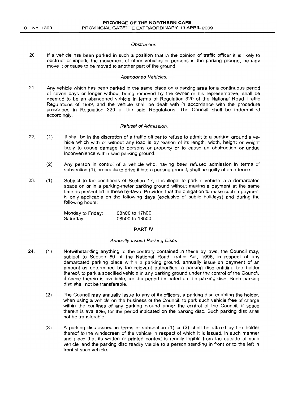#### Obstruction.

20. If a vehicle has been parked in such a position that in the opinion of traffic officer it is likely to obstruct or impede the movement of other vehicles or persons in the parking ground, he may move it or cause to be moved to another part of the ground.

## Abandoned Vehicles.

21. Any vehicle which has been parked in the same place on a parking area for a continuous period of seven days or longer without being removed by the owner or his representative, shall be deemed to be an abandoned vehicle in terms of Regulation 320 of the National Road Traffic Regulations of 1999, and the vehicle shall be dealt with in accordance with the procedure prescribed in Regulation 320 of the said Regulations. The Council shall be indemnified accordingly.

#### Refusal of Admission.

- 22. (1) It shall be in the discretion of a traffic officer to refuse to admit to a parking ground a vehicle which with or without any load is by reason of its length, width, height or weight likely to cause damage to persons or property or to cause an obstruction or undue inconvenience within said parking ground.
	- (2) Any person in control of a vehicle who, having been refused admission in terms of subsection (1), proceeds to drive it into a parking ground, shall be guilty of an offence.
- 23. (1) Subject to the conditions of Section 17, it is illegal to park a vehicle in a demarcated space on or in a parking-meter parking ground without making a payment at the same time as prescribed in these by-laws: Provided that the obligation to make such a payment is only applicable on the following days (exclusive of public holidays) and during the following hours:

Monday to Friday: Saturday: 08hOO to 17hOO 08hOO to 13hOO

## **PART IV**

#### Annually Issued Parking Discs

- 24. (1) Notwithstanding anything to the contrary contained in these by-laws, the Council may, subject to Section 80 of the National Road Traffic Act, 1996, in respect of any demarcated parking place within a parking ground, annually issue on payment of an amount as determined by the relevant authorities, a parking disc entitling the holder thereof, to park a specified vehicle in any parking ground under the control of the Council, if space therein is available, for the period indicated on the parking disc. Such parking disc shall not be transferable.
	- (2) The Council may annually issue to any of its officers, a parking disc enabling the holder, when using a vehicle on the business of the Council, to park such vehicle free of charge within the confines of any parking ground under the control of the Council, if space therein is available, for the period indicated on the parking disc. Such parking disc shall not be transferable.
	- (3) A parking disc issued in terms of subsection (1) or (2) shall be affixed by the holder thereof to the windscreen of the vehicle in respect of which it is issued, in such manner and place that its written or printed context is readily legible from the outside of such vehicle, and the parking disc readily visible to a person standing in front or to the left in front of such vehicle.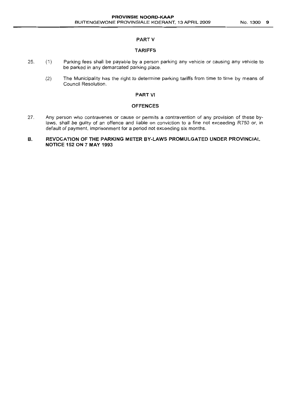#### PART V

#### TARIFFS

- 25. (1) Parking fees shall be payable by a person parking any vehicle or causing any vehicle to be parked in any demarcated parking place.
	- (2) The Municipality has the right to determine parking tariffs from time to time by means of Council Resolution.

#### PART VI

#### **OFFENCES**

27. Any person who contravenes or cause or permits a contravention of any provision of these bylaws, shall be guilty of an offence and liable on conviction to a fine not exceeding R750 or, in default of payment, imprisonment for a period not exceeding six months.

## B. REVOCATION OF THE PARKING METER BY·LAWS PROMULGATED UNDER PROVINCIAL NOTIGE 152 ON 7 MAY 1993